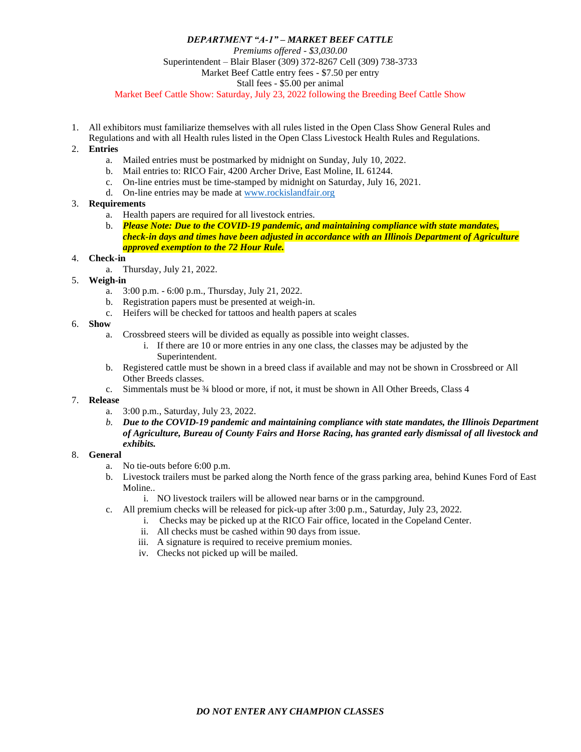## *DEPARTMENT "A-1" – MARKET BEEF CATTLE Premiums offered - \$3,030.00* Superintendent – Blair Blaser (309) 372-8267 Cell (309) 738-3733 Market Beef Cattle entry fees - \$7.50 per entry Stall fees - \$5.00 per animal Market Beef Cattle Show: Saturday, July 23, 2022 following the Breeding Beef Cattle Show

1. All exhibitors must familiarize themselves with all rules listed in the Open Class Show General Rules and Regulations and with all Health rules listed in the Open Class Livestock Health Rules and Regulations.

## 2. **Entries**

- a. Mailed entries must be postmarked by midnight on Sunday, July 10, 2022.
- b. Mail entries to: RICO Fair, 4200 Archer Drive, East Moline, IL 61244.
- c. On-line entries must be time-stamped by midnight on Saturday, July 16, 2021.
- d. On-line entries may be made at [www.rockislandfair.org](http://www.rockislandfair.org/)

## 3. **Requirements**

- a. Health papers are required for all livestock entries.
- b. *Please Note: Due to the COVID-19 pandemic, and maintaining compliance with state mandates, check-in days and times have been adjusted in accordance with an Illinois Department of Agriculture approved exemption to the 72 Hour Rule.*

#### 4. **Check-in**

- a. Thursday, July 21, 2022.
- 5. **Weigh-in**
	- a. 3:00 p.m. 6:00 p.m., Thursday, July 21, 2022.
	- b. Registration papers must be presented at weigh-in.
	- c. Heifers will be checked for tattoos and health papers at scales

## 6. **Show**

- a. Crossbreed steers will be divided as equally as possible into weight classes.
	- i. If there are 10 or more entries in any one class, the classes may be adjusted by the Superintendent.
- b. Registered cattle must be shown in a breed class if available and may not be shown in Crossbreed or All Other Breeds classes.
- c. Simmentals must be ¾ blood or more, if not, it must be shown in All Other Breeds, Class 4

# 7. **Release**

- a. 3:00 p.m., Saturday, July 23, 2022.
- *b. Due to the COVID-19 pandemic and maintaining compliance with state mandates, the Illinois Department of Agriculture, Bureau of County Fairs and Horse Racing, has granted early dismissal of all livestock and exhibits.*

#### 8. **General**

- a. No tie-outs before 6:00 p.m.
- b. Livestock trailers must be parked along the North fence of the grass parking area, behind Kunes Ford of East Moline..

i. NO livestock trailers will be allowed near barns or in the campground.

- c. All premium checks will be released for pick-up after 3:00 p.m., Saturday, July 23, 2022.
	- i. Checks may be picked up at the RICO Fair office, located in the Copeland Center.
	- ii. All checks must be cashed within 90 days from issue.
	- iii. A signature is required to receive premium monies.
	- iv. Checks not picked up will be mailed.